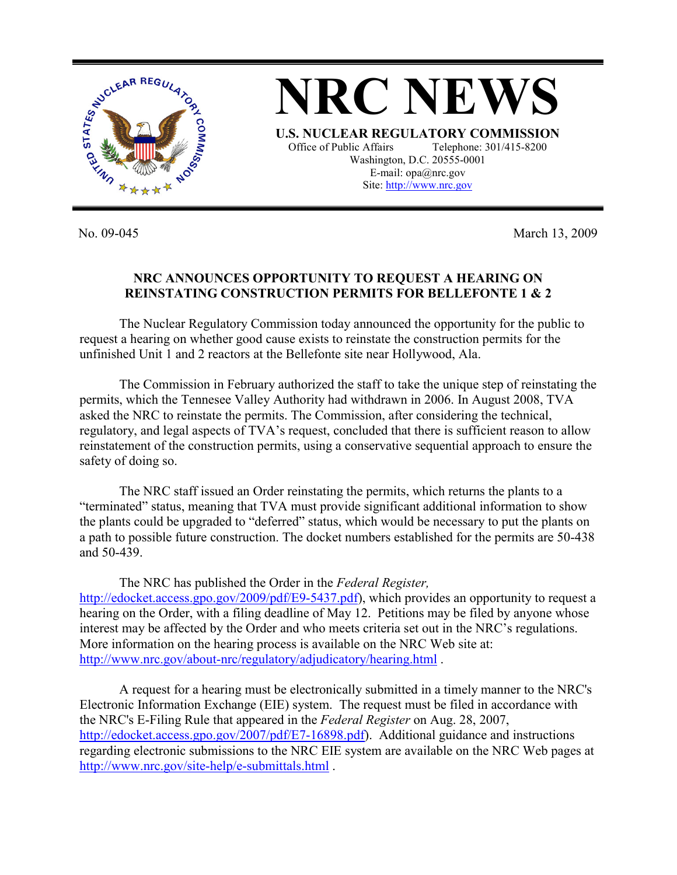

No. 09-045 March 13, 2009

## **NRC ANNOUNCES OPPORTUNITY TO REQUEST A HEARING ON REINSTATING CONSTRUCTION PERMITS FOR BELLEFONTE 1 & 2**

 The Nuclear Regulatory Commission today announced the opportunity for the public to request a hearing on whether good cause exists to reinstate the construction permits for the unfinished Unit 1 and 2 reactors at the Bellefonte site near Hollywood, Ala.

The Commission in February authorized the staff to take the unique step of reinstating the permits, which the Tennesee Valley Authority had withdrawn in 2006. In August 2008, TVA asked the NRC to reinstate the permits. The Commission, after considering the technical, regulatory, and legal aspects of TVA's request, concluded that there is sufficient reason to allow reinstatement of the construction permits, using a conservative sequential approach to ensure the safety of doing so.

 The NRC staff issued an Order reinstating the permits, which returns the plants to a "terminated" status, meaning that TVA must provide significant additional information to show the plants could be upgraded to "deferred" status, which would be necessary to put the plants on a path to possible future construction. The docket numbers established for the permits are 50-438 and 50-439.

The NRC has published the Order in the *Federal Register,* http://edocket.access.gpo.gov/2009/pdf/E9-5437.pdf), which provides an opportunity to request a hearing on the Order, with a filing deadline of May 12. Petitions may be filed by anyone whose interest may be affected by the Order and who meets criteria set out in the NRC's regulations. More information on the hearing process is available on the NRC Web site at: http://www.nrc.gov/about-nrc/regulatory/adjudicatory/hearing.html .

 A request for a hearing must be electronically submitted in a timely manner to the NRC's Electronic Information Exchange (EIE) system. The request must be filed in accordance with the NRC's E-Filing Rule that appeared in the *Federal Register* on Aug. 28, 2007, http://edocket.access.gpo.gov/2007/pdf/E7-16898.pdf). Additional guidance and instructions regarding electronic submissions to the NRC EIE system are available on the NRC Web pages at http://www.nrc.gov/site-help/e-submittals.html .